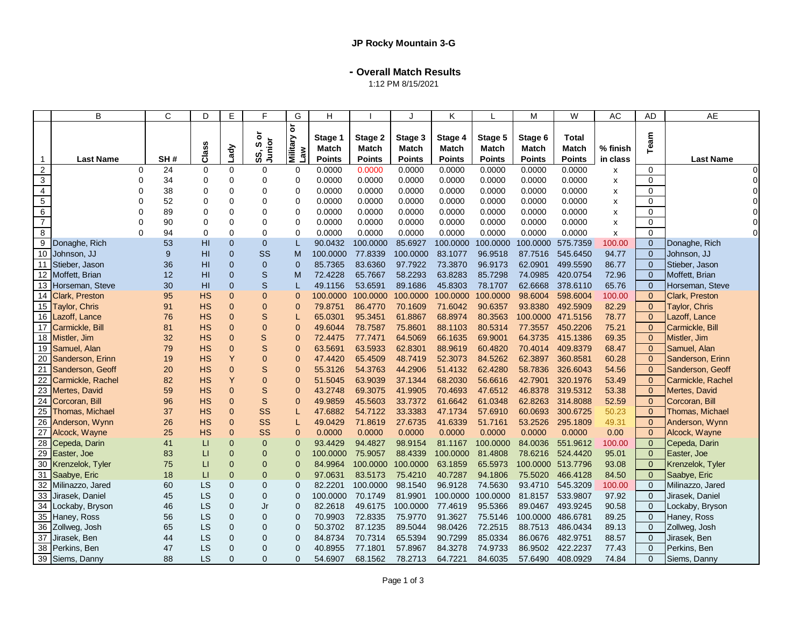**- Overall Match Results**

1:12 PM 8/15/2021

|                                  | B                               |          | C        | D           | E                          | E                        | G                                                     | H                       |                         |                                          | Κ                                        |                                   | M                                 | W                               | АC                   | AD                            | AE                           |
|----------------------------------|---------------------------------|----------|----------|-------------|----------------------------|--------------------------|-------------------------------------------------------|-------------------------|-------------------------|------------------------------------------|------------------------------------------|-----------------------------------|-----------------------------------|---------------------------------|----------------------|-------------------------------|------------------------------|
|                                  | <b>Last Name</b>                |          | SH#      | Class       | Lady                       | ŏ<br>Junior<br>w<br>SS,  | $\overleftarrow{\mathrm{o}}$<br>we<br>Kupili <b>n</b> | Stage 1<br>Match        | Stage 2<br><b>Match</b> | Stage 3<br><b>Match</b><br><b>Points</b> | Stage 4<br><b>Match</b><br><b>Points</b> | Stage 5<br>Match<br><b>Points</b> | Stage 6<br>Match<br><b>Points</b> | Total<br>Match<br><b>Points</b> | % finish<br>in class | Team                          | <b>Last Name</b>             |
| $\overline{1}$<br>$\overline{2}$ |                                 | 0        | 24       | 0           | $\mathbf 0$                | 0                        | 0                                                     | <b>Points</b><br>0.0000 | <b>Points</b><br>0.0000 | 0.0000                                   | 0.0000                                   | 0.0000                            | 0.0000                            | 0.0000                          | x                    | 0                             | $\Omega$                     |
| $\overline{\omega}$              |                                 | $\Omega$ | 34       | $\mathbf 0$ | $\Omega$                   | $\Omega$                 | $\mathbf 0$                                           | 0.0000                  | 0.0000                  | 0.0000                                   | 0.0000                                   | 0.0000                            | 0.0000                            | 0.0000                          | X                    | $\overline{0}$                | $\Omega$                     |
| $\overline{4}$                   |                                 | 0        | 38       | $\mathbf 0$ | 0                          | $\mathbf 0$              | $\mathbf 0$                                           | 0.0000                  | 0.0000                  | 0.0000                                   | 0.0000                                   | 0.0000                            | 0.0000                            | 0.0000                          | X                    | $\Omega$                      | $\Omega$                     |
| $\,$ 5 $\,$                      |                                 | 0        | 52       | $\mathbf 0$ | $\Omega$                   | $\mathbf 0$              | $\mathbf 0$                                           | 0.0000                  | 0.0000                  | 0.0000                                   | 0.0000                                   | 0.0000                            | 0.0000                            | 0.0000                          | X                    | $\mathbf 0$                   |                              |
| 6                                |                                 | $\Omega$ | 89       | $\Omega$    | $\Omega$                   | $\Omega$                 | $\mathbf 0$                                           | 0.0000                  | 0.0000                  | 0.0000                                   | 0.0000                                   | 0.0000                            | 0.0000                            | 0.0000                          | X                    | $\Omega$                      | $\Omega$                     |
| $\overline{7}$                   |                                 | $\Omega$ | 90       | $\Omega$    | $\Omega$                   | $\mathbf 0$              | $\mathbf 0$                                           | 0.0000                  | 0.0000                  | 0.0000                                   | 0.0000                                   | 0.0000                            | 0.0000                            | 0.0000                          | X                    | $\Omega$                      |                              |
| 8                                |                                 | $\Omega$ | 94       | $\mathbf 0$ | 0                          | $\mathbf 0$              | $\mathbf 0$                                           | 0.0000                  | 0.0000                  | 0.0000                                   | 0.0000                                   | 0.0000                            | 0.0000                            | 0.0000                          | x                    | $\Omega$                      | $\Omega$                     |
| 9                                | Donaghe, Rich                   |          | 53       | HI          | $\Omega$                   | $\mathbf{0}$             |                                                       | 90.0432                 | 100.0000                | 85.6927                                  | 100.0000                                 | 100.0000                          | 100.0000                          | 575.7359                        | 100.00               | $\overline{0}$                | Donaghe, Rich                |
|                                  | 10 Johnson, JJ                  |          | 9        | HI          | $\Omega$                   | SS                       | М                                                     | 100.0000                | 77.8339                 | 100.0000                                 | 83.1077                                  | 96.9518                           | 87.7516                           | 545.6450                        | 94.77                | $\overline{0}$                | Johnson, JJ                  |
| 11                               | Stieber, Jason                  |          | 36       | HI          | $\overline{0}$             | $\mathbf{0}$             | $\Omega$                                              | 85.7365                 | 83.6360                 | 97.7922                                  | 73.3870                                  | 96.9173                           | 62.0901                           | 499.5590                        | 86.77                | $\mathbf{0}$                  | Stieber, Jason               |
|                                  | 12 Moffett, Brian               |          | 12       | HI          | $\mathbf{0}$               | S                        | М                                                     | 72.4228                 | 65.7667                 | 58.2293                                  | 63.8283                                  | 85.7298                           | 74.0985                           | 420.0754                        | 72.96                | $\mathbf 0$                   | Moffett, Brian               |
|                                  | 13 Horseman, Steve              |          | 30       | HI          | $\overline{0}$             | $\mathsf S$              |                                                       | 49.1156                 | 53.6591                 | 89.1686                                  | 45.8303                                  | 78.1707                           | 62.6668                           | 378.6110                        | 65.76                | $\mathbf{0}$                  | Horseman, Steve              |
|                                  | 14 Clark, Preston               |          | 95       | <b>HS</b>   | $\overline{0}$             | $\mathbf{0}$             | $\Omega$                                              | 100.0000                | 100.0000                | 100.0000                                 | 100.0000                                 | 100.0000                          | 98.6004                           | 598.6004                        | 100.00               | $\mathbf{0}$                  | Clark, Preston               |
|                                  | 15 Taylor, Chris                |          | 91       | <b>HS</b>   | $\Omega$                   | $\mathbf{0}$             | $\Omega$                                              | 79.8751                 | 86.4770                 | 70.1609                                  | 71.6042                                  | 90.6357                           | 93.8380                           | 492.5909                        | 82.29                | $\Omega$                      | Taylor, Chris                |
|                                  | 16 Lazoff, Lance                |          | 76       | <b>HS</b>   | $\Omega$                   | S                        |                                                       | 65.0301                 | 95.3451                 | 61.8867                                  | 68.8974                                  | 80.3563                           | 100.0000                          | 471.5156                        | 78.77                | $\mathbf{0}$                  | Lazoff, Lance                |
|                                  | 17 Carmickle, Bill              |          | 81       | <b>HS</b>   | $\overline{0}$             | $\mathbf{0}$             | $\Omega$                                              | 49.6044                 | 78.7587                 | 75.8601                                  | 88.1103                                  | 80.5314                           | 77.3557                           | 450.2206                        | 75.21                | $\Omega$                      | Carmickle, Bill              |
|                                  | 18 Mistler, Jim                 |          | 32       | <b>HS</b>   | $\Omega$                   | S                        | $\Omega$                                              | 72,4475                 | 77.7471                 | 64.5069                                  | 66.1635                                  | 69.9001                           | 64.3735                           | 415.1386                        | 69.35                | $\Omega$                      | Mistler, Jim                 |
|                                  | 19 Samuel, Alan                 |          | 79       | <b>HS</b>   | $\overline{0}$             | $\mathbf S$              | $\Omega$                                              | 63.5691                 | 63.5933                 | 62.8301                                  | 88.9619                                  | 60.4820                           | 70.4014                           | 409.8379                        | 68.47                | $\Omega$                      | Samuel, Alan                 |
|                                  | 20 Sanderson, Erinn             |          | 19       | <b>HS</b>   | Y                          | $\bf 0$                  | $\overline{0}$                                        | 47.4420                 | 65.4509                 | 48.7419                                  | 52.3073                                  | 84.5262                           | 62.3897                           | 360.8581                        | 60.28                | $\Omega$                      | Sanderson, Erinn             |
| 21                               | Sanderson, Geoff                |          | 20       | <b>HS</b>   | $\Omega$                   | S                        | $\Omega$                                              | 55.3126                 | 54.3763                 | 44.2906                                  | 51.4132                                  | 62.4280                           | 58.7836                           | 326.6043                        | 54.56                | $\Omega$                      | Sanderson, Geoff             |
| $\overline{22}$                  | Carmickle, Rachel               |          | 82       | <b>HS</b>   | Y                          | $\mathbf{0}$             | $\Omega$                                              | 51.5045                 | 63.9039                 | 37.1344                                  | 68.2030                                  | 56.6616                           | 42.7901                           | 320.1976                        | 53.49                | $\overline{0}$                | Carmickle, Rachel            |
|                                  | 23 Mertes, David                |          | 59       | <b>HS</b>   | $\overline{0}$             | $\mathbb S$              | $\overline{0}$                                        | 43.2748                 | 69.3075                 | 41.9905                                  | 70.4693                                  | 47.6512                           | 46.8378                           | 319.5312                        | 53.38                | $\overline{0}$                | Mertes, David                |
| 24                               | Corcoran, Bill                  |          | 96       | <b>HS</b>   | $\Omega$                   | $\mathbf S$              | $\Omega$                                              | 49.9859                 | 45.5603                 | 33.7372                                  | 61.6642                                  | 61.0348                           | 62.8263                           | 314.8088                        | 52.59                | $\Omega$                      | Corcoran, Bill               |
|                                  | 25 Thomas, Michael              |          | 37       | <b>HS</b>   | $\overline{0}$             | SS                       |                                                       | 47.6882                 | 54.7122                 | 33.3383                                  | 47.1734                                  | 57.6910                           | 60.0693                           | 300.6725                        | 50.23                | $\Omega$                      | Thomas, Michael              |
|                                  | 26 Anderson, Wynn               |          | 26       | <b>HS</b>   | $\overline{0}$             | SS                       |                                                       | 49.0429                 | 71.8619                 | 27.6735                                  | 41.6339                                  | 51.7161                           | 53.2526                           | 295.1809                        | 49.31                | $\overline{0}$                | Anderson, Wynn               |
| 27                               | Alcock, Wayne                   |          | 25       | <b>HS</b>   | $\overline{0}$             | SS                       | $\overline{0}$                                        | 0.0000                  | 0.0000                  | 0.0000                                   | 0.0000                                   | 0.0000                            | 0.0000                            | 0.0000                          | 0.00                 | $\Omega$                      | Alcock, Wayne                |
|                                  | 28 Cepeda, Darin                |          | 41       | $\sqcup$    | $\overline{0}$             | $\overline{0}$           | $\Omega$                                              | 93.4429                 | 94.4827                 | 98.9154                                  | 81.1167                                  | 100.0000                          | 84.0036                           | 551.9612                        | 100.00               | $\overline{0}$                | Cepeda, Darin                |
|                                  | 29 Easter, Joe                  |          | 83       | LI          | $\Omega$                   | $\mathbf{0}$             | $\overline{0}$                                        | 100.0000                | 75.9057                 | 88.4339                                  | 100.0000                                 | 81.4808                           | 78.6216                           | 524.4420                        | 95.01                | $\overline{0}$                | Easter, Joe                  |
|                                  | 30 Krenzelok, Tyler             |          | 75       | LI          | $\Omega$                   | $\mathbf{0}$             | $\Omega$                                              | 84.9964                 | 100.0000                | 100,0000                                 | 63.1859                                  | 65.5973                           |                                   | 100.0000 513.7796               | 93.08                | $\Omega$                      | Krenzelok, Tyler             |
| 31                               | Saabye, Eric                    |          | 18       | $\sqcup$    | $\overline{0}$             | $\mathbf{0}$             | $\overline{0}$                                        | 97.0631                 | 83.5173                 | 75.4210                                  | 40.7287                                  | 94.1806                           | 75.5020                           | 466.4128                        | 84.50                | $\overline{0}$                | Saabye, Eric                 |
|                                  | 32 Milinazzo, Jared             |          | 60       | LS          | $\overline{0}$             | $\mathbf{0}$             | $\Omega$                                              | 82.2201                 | 100.0000                | 98.1540                                  | 96.9128                                  | 74.5630                           | 93.4710                           | 545.3209                        | 100.00               | $\overline{0}$                | Milinazzo, Jared             |
| 33                               | Jirasek, Daniel                 |          | 45       | LS          | $\mathbf 0$                | 0                        | $\mathbf 0$                                           | 100.0000                | 70.1749                 | 81.9901                                  | 100.0000                                 | 100.0000                          | 81.8157                           | 533.9807                        | 97.92                | $\overline{0}$                | Jirasek, Daniel              |
|                                  | 34 Lockaby, Bryson              |          | 46       | LS          | $\Omega$                   | Jr                       | $\Omega$                                              | 82.2618                 | 49.6175                 | 100.0000                                 | 77.4619                                  | 95.5366                           | 89.0467                           | 493.9245                        | 90.58                | $\Omega$                      | Lockaby, Bryson              |
|                                  | 35 Haney, Ross                  |          | 56       | LS          | $\overline{0}$             | $\mathbf 0$              | $\overline{0}$                                        | 70.9903                 | 72.8335                 | 75.9770                                  | 91.3627                                  | 75.5146                           | 100.0000                          | 486.6781                        | 89.25                | $\overline{0}$                | Haney, Ross                  |
|                                  | 36 Zollweg, Josh                |          | 65       | LS          | $\overline{0}$<br>$\Omega$ | $\mathbf 0$              | $\overline{0}$<br>$\Omega$                            | 50.3702<br>84.8734      | 87.1235<br>70.7314      | 89.5044<br>65.5394                       | 98.0426<br>90.7299                       | 72.2515<br>85.0334                | 88.7513<br>86.0676                | 486.0434<br>482.9751            | 89.13                | $\mathbf 0$<br>$\overline{0}$ | Zollweg, Josh                |
| 37                               | Jirasek, Ben<br>38 Perkins, Ben |          | 44<br>47 | LS<br>LS    | $\Omega$                   | $\mathbf{0}$<br>$\Omega$ | $\Omega$                                              | 40.8955                 | 77.1801                 | 57.8967                                  | 84.3278                                  | 74.9733                           | 86.9502                           | 422.2237                        | 88.57<br>77.43       | $\Omega$                      | Jirasek, Ben<br>Perkins, Ben |
|                                  |                                 |          |          |             |                            |                          |                                                       |                         |                         |                                          |                                          |                                   |                                   |                                 |                      |                               |                              |
|                                  | 39 Siems, Danny                 |          | 88       | LS          | $\Omega$                   | $\Omega$                 | $\Omega$                                              | 54.6907                 | 68.1562                 | 78.2713                                  | 64.7221                                  | 84.6035                           | 57.6490                           | 408.0929                        | 74.84                | $\Omega$                      | Siems, Danny                 |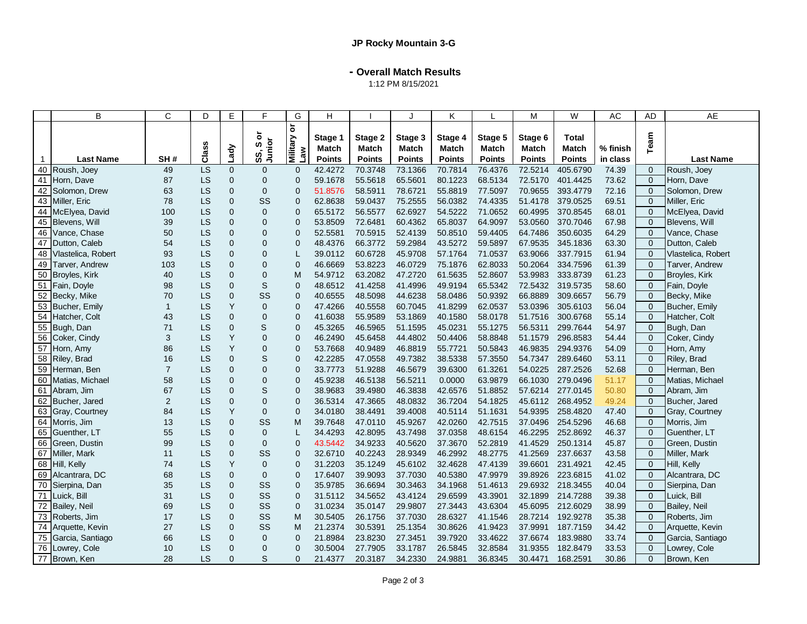**- Overall Match Results**

1:12 PM 8/15/2021

|              | B                  | C              | D         | E              | F                       | G                                                      | H                |                  | Τ.               | K                |                  | M                | W                     | AC       | <b>AD</b>      | <b>AE</b>          |
|--------------|--------------------|----------------|-----------|----------------|-------------------------|--------------------------------------------------------|------------------|------------------|------------------|------------------|------------------|------------------|-----------------------|----------|----------------|--------------------|
|              |                    |                | Class     | Lady           | ১<br>Junior<br>w<br>SS, | $\overleftarrow{\mathtt{o}}$<br><b>Military</b><br>Law | Stage 1<br>Match | Stage 2<br>Match | Stage 3<br>Match | Stage 4<br>Match | Stage 5<br>Match | Stage 6<br>Match | <b>Total</b><br>Match | % finish | Team           |                    |
| $\mathbf{1}$ | <b>Last Name</b>   | SH#            |           |                |                         |                                                        | <b>Points</b>    | <b>Points</b>    | <b>Points</b>    | <b>Points</b>    | <b>Points</b>    | <b>Points</b>    | <b>Points</b>         | in class |                | <b>Last Name</b>   |
|              | 40 Roush, Joey     | 49             | LS        | $\mathbf{0}$   | $\Omega$                | $\mathbf{0}$                                           | 42.4272          | 70.3748          | 73.1366          | 70.7814          | 76.4376          | 72.5214          | 405.6790              | 74.39    | $\mathbf 0$    | Roush, Joey        |
| 41           | Horn, Dave         | 87             | LS        | $\mathbf{0}$   | $\Omega$                | $\Omega$                                               | 59.1678          | 55.5618          | 65.5601          | 80.1223          | 68.5134          | 72.5170          | 401.4425              | 73.62    | $\Omega$       | Horn, Dave         |
| 42           | Solomon, Drew      | 63             | LS        | $\mathbf 0$    | $\overline{0}$          | $\mathbf{0}$                                           | 51.8576          | 58.5911          | 78.6721          | 55.8819          | 77.5097          | 70.9655          | 393.4779              | 72.16    | $\overline{0}$ | Solomon, Drew      |
|              | 43 Miller, Eric    | 78             | LS        | $\mathbf 0$    | SS                      | $\mathbf 0$                                            | 62.8638          | 59.0437          | 75.2555          | 56.0382          | 74.4335          | 51.4178          | 379.0525              | 69.51    | $\overline{0}$ | Miller, Eric       |
| 44           | McElyea, David     | 100            | LS        | $\mathbf 0$    | $\overline{0}$          | $\mathbf{0}$                                           | 65.5172          | 56.5577          | 62.6927          | 54.5222          | 71.0652          | 60.4995          | 370.8545              | 68.01    | $\mathbf 0$    | McElyea, David     |
| 45           | Blevens, Will      | 39             | LS        | $\overline{0}$ | $\Omega$                | $\Omega$                                               | 53.8509          | 72.6481          | 60.4362          | 65.8037          | 64.9097          | 53.0560          | 370.7046              | 67.98    | $\Omega$       | Blevens, Will      |
| 46           | Vance, Chase       | 50             | LS        | $\mathbf 0$    | $\Omega$                | $\mathbf{0}$                                           | 52.5581          | 70.5915          | 52.4139          | 50.8510          | 59.4405          | 64.7486          | 350.6035              | 64.29    | $\Omega$       | Vance, Chase       |
| 47           | Dutton, Caleb      | 54             | LS        | $\mathbf{0}$   | $\Omega$                | $\mathbf{0}$                                           | 48.4376          | 66.3772          | 59.2984          | 43.5272          | 59.5897          | 67.9535          | 345.1836              | 63.30    | $\Omega$       | Dutton, Caleb      |
| 48           | Vlastelica, Robert | 93             | <b>LS</b> | $\mathbf{0}$   | $\Omega$                |                                                        | 39.0112          | 60.6728          | 45.9708          | 57.1764          | 71.0537          | 63.9066          | 337.7915              | 61.94    | $\mathbf{0}$   | Vlastelica, Robert |
| 49           | Tarver, Andrew     | 103            | LS        | $\Omega$       | $\Omega$                | $\Omega$                                               | 46.6669          | 53.8223          | 46.0729          | 75.1876          | 62.8033          | 50.2064          | 334.7596              | 61.39    | $\Omega$       | Tarver, Andrew     |
|              | 50 Broyles, Kirk   | 40             | LS        | $\mathbf 0$    | $\overline{0}$          | M                                                      | 54.9712          | 63.2082          | 47.2720          | 61.5635          | 52.8607          | 53.9983          | 333.8739              | 61.23    | $\mathbf 0$    | Broyles, Kirk      |
|              | 51 Fain, Doyle     | 98             | LS        | $\mathbf{0}$   | S                       | $\Omega$                                               | 48.6512          | 41.4258          | 41.4996          | 49.9194          | 65.5342          | 72.5432          | 319.5735              | 58.60    | $\Omega$       | Fain, Doyle        |
| 52           | Becky, Mike        | 70             | LS        | $\mathbf{0}$   | SS                      | $\Omega$                                               | 40.6555          | 48.5098          | 44.6238          | 58.0486          | 50.9392          | 66.8889          | 309.6657              | 56.79    | $\mathbf 0$    | Becky, Mike        |
| 53           | Bucher, Emily      | $\mathbf 1$    | LS        | Y              | $\overline{0}$          | $\mathbf{0}$                                           | 47.4266          | 40.5558          | 60.7045          | 41.8299          | 62.0537          | 53.0396          | 305.6103              | 56.04    | $\Omega$       | Bucher, Emily      |
|              | 54 Hatcher, Colt   | 43             | LS        | $\mathbf{0}$   | $\overline{0}$          | $\mathbf{0}$                                           | 41.6038          | 55.9589          | 53.1869          | 40.1580          | 58.0178          | 51.7516          | 300.6768              | 55.14    | $\overline{0}$ | Hatcher, Colt      |
|              | 55 Bugh, Dan       | 71             | LS        | $\mathbf{0}$   | S                       | $\Omega$                                               | 45.3265          | 46.5965          | 51.1595          | 45.0231          | 55.1275          | 56.5311          | 299.7644              | 54.97    | $\Omega$       | Bugh, Dan          |
| 56           | Coker, Cindy       | 3              | LS        | Y              | $\overline{0}$          | $\Omega$                                               | 46.2490          | 45.6458          | 44.4802          | 50.4406          | 58.8848          | 51.1579          | 296.8583              | 54.44    | $\Omega$       | Coker, Cindy       |
| 57           | Horn, Amy          | 86             | LS        | Y              | $\overline{0}$          | $\mathbf{0}$                                           | 53.7668          | 40.9489          | 46.8819          | 55.7721          | 50.5843          | 46.9835          | 294.9376              | 54.09    | $\Omega$       | Horn, Amy          |
|              | 58 Riley, Brad     | 16             | LS        | $\overline{0}$ | S                       | $\mathbf{0}$                                           | 42.2285          | 47.0558          | 49.7382          | 38.5338          | 57.3550          | 54.7347          | 289.6460              | 53.11    | $\mathbf 0$    | Riley, Brad        |
|              | 59 Herman, Ben     | $\overline{7}$ | LS        | $\mathbf 0$    | $\Omega$                | $\Omega$                                               | 33.7773          | 51.9288          | 46.5679          | 39.6300          | 61.3261          | 54.0225          | 287.2526              | 52.68    | $\Omega$       | Herman, Ben        |
| 60           | Matias, Michael    | 58             | LS        | $\mathbf 0$    | $\overline{0}$          | 0                                                      | 45.9238          | 46.5138          | 56.5211          | 0.0000           | 63.9879          | 66.1030          | 279.0496              | 51.17    | $\Omega$       | Matias, Michael    |
| 61           | Abram, Jim         | 67             | LS        | $\mathbf{0}$   | S                       | $\mathbf{0}$                                           | 38.9683          | 39.4980          | 46.3838          | 42.6576          | 51.8852          | 57.6214          | 277.0145              | 50.80    | $\Omega$       | Abram, Jim         |
|              | 62 Bucher, Jared   | $\overline{2}$ | LS        | $\mathbf{0}$   | $\Omega$                | $\mathbf{0}$                                           | 36.5314          | 47.3665          | 48.0832          | 36.7204          | 54.1825          | 45.6112          | 268.4952              | 49.24    | $\Omega$       | Bucher, Jared      |
| 63           | Gray, Courtney     | 84             | LS        | Υ              | $\overline{0}$          | $\mathbf 0$                                            | 34.0180          | 38.4491          | 39.4008          | 40.5114          | 51.1631          | 54.9395          | 258.4820              | 47.40    | $\overline{0}$ | Gray, Courtney     |
|              | 64 Morris, Jim     | 13             | LS        | $\mathbf{0}$   | SS                      | м                                                      | 39.7648          | 47.0110          | 45.9267          | 42.0260          | 42.7515          | 37.0496          | 254.5296              | 46.68    | $\Omega$       | Morris, Jim        |
| 65           | Guenther, LT       | 55             | LS        | $\mathbf 0$    | $\mathbf{0}$            |                                                        | 34.4293          | 42.8095          | 43.7498          | 37.0358          | 48.6154          | 46.2295          | 252.8692              | 46.37    | $\Omega$       | Guenther, LT       |
| 66           | Green, Dustin      | 99             | LS        | $\mathbf 0$    | $\overline{0}$          | $\mathbf{0}$                                           | 43.5442          | 34.9233          | 40.5620          | 37.3670          | 52.2819          | 41.4529          | 250.1314              | 45.87    | $\Omega$       | Green, Dustin      |
| 67           | Miller, Mark       | 11             | LS        | $\mathbf 0$    | SS                      | $\mathbf{0}$                                           | 32.6710          | 40.2243          | 28.9349          | 46.2992          | 48.2775          | 41.2569          | 237.6637              | 43.58    | $\mathbf 0$    | Miller, Mark       |
|              | 68 Hill, Kelly     | 74             | LS        | Y              | $\Omega$                | $\Omega$                                               | 31.2203          | 35.1249          | 45.6102          | 32.4628          | 47.4139          | 39.6601          | 231.4921              | 42.45    | $\Omega$       | Hill, Kelly        |
| 69           | Alcantrara, DC     | 68             | LS        | $\mathbf 0$    | $\mathbf{0}$            | $\mathbf{0}$                                           | 17.6407          | 39.9093          | 37.7030          | 40.5380          | 47.9979          | 39.8926          | 223.6815              | 41.02    | $\Omega$       | Alcantrara, DC     |
|              | 70 Sierpina, Dan   | 35             | LS        | $\mathbf 0$    | SS                      | $\mathbf{0}$                                           | 35.9785          | 36.6694          | 30.3463          | 34.1968          | 51.4613          | 29.6932          | 218.3455              | 40.04    | $\mathbf 0$    | Sierpina, Dan      |
| 71           | Luick, Bill        | 31             | LS        | $\mathbf{0}$   | SS                      | $\Omega$                                               | 31.5112          | 34.5652          | 43.4124          | 29.6599          | 43.3901          | 32.1899          | 214.7288              | 39.38    | $\overline{0}$ | Luick, Bill        |
|              | 72 Bailey, Neil    | 69             | LS        | $\mathbf{0}$   | SS                      | $\Omega$                                               | 31.0234          | 35.0147          | 29.9807          | 27.3443          | 43.6304          | 45.6095          | 212,6029              | 38.99    | $\Omega$       | Bailey, Neil       |
|              | 73 Roberts, Jim    | 17             | LS        | $\mathbf 0$    | SS                      | M                                                      | 30.5405          | 26.1756          | 37.7030          | 28.6327          | 41.1546          | 28.7214          | 192.9278              | 35.38    | $\mathbf 0$    | Roberts, Jim       |
|              | 74 Arquette, Kevin | 27             | LS        | $\Omega$       | SS                      | M                                                      | 21.2374          | 30.5391          | 25.1354          | 30.8626          | 41.9423          | 37.9991          | 187.7159              | 34.42    | $\Omega$       | Arquette, Kevin    |
| 75           | Garcia, Santiago   | 66             | LS        | $\mathbf{0}$   | $\overline{0}$          | $\Omega$                                               | 21.8984          | 23.8230          | 27.3451          | 39.7920          | 33.4622          | 37.6674          | 183.9880              | 33.74    | $\mathbf 0$    | Garcia, Santiago   |
| 76           | Lowrey, Cole       | 10             | LS        | $\Omega$       | $\Omega$                | $\Omega$                                               | 30.5004          | 27.7905          | 33.1787          | 26.5845          | 32.8584          | 31.9355          | 182.8479              | 33.53    | $\Omega$       | Lowrey, Cole       |
|              | 77 Brown, Ken      | 28             | LS        | $\Omega$       | S                       | $\Omega$                                               | 21.4377          | 20.3187          | 34.2330          | 24.9881          | 36.8345          | 30.4471          | 168.2591              | 30.86    | $\Omega$       | Brown, Ken         |